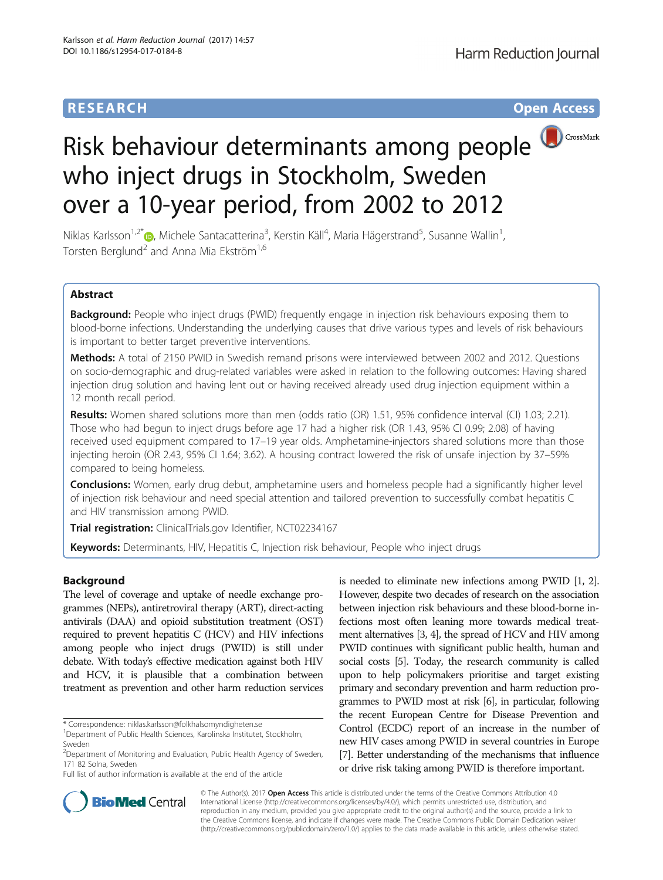# **RESEARCH CHILD CONTROL** CONTROL CONTROL CONTROL CONTROL CONTROL CONTROL CONTROL CONTROL CONTROL CONTROL CONTROL CONTROL CONTROL CONTROL CONTROL CONTROL CONTROL CONTROL CONTROL CONTROL CONTROL CONTROL CONTROL CONTROL CONTR

# Risk behaviour determinants among people who inject drugs in Stockholm, Sweden over a 10-year period, from 2002 to 2012

Niklas Karlsson<sup>1,2[\\*](http://orcid.org/0000-0003-0523-5397)</sup>®, Michele Santacatterina<sup>3</sup>, Kerstin Käll<sup>4</sup>, Maria Hägerstrand<sup>5</sup>, Susanne Wallin<sup>1</sup> , Torsten Berglund<sup>2</sup> and Anna Mia Ekström<sup>1,6</sup>

# Abstract

Background: People who inject drugs (PWID) frequently engage in injection risk behaviours exposing them to blood-borne infections. Understanding the underlying causes that drive various types and levels of risk behaviours is important to better target preventive interventions.

Methods: A total of 2150 PWID in Swedish remand prisons were interviewed between 2002 and 2012. Questions on socio-demographic and drug-related variables were asked in relation to the following outcomes: Having shared injection drug solution and having lent out or having received already used drug injection equipment within a 12 month recall period.

Results: Women shared solutions more than men (odds ratio (OR) 1.51, 95% confidence interval (CI) 1.03; 2.21). Those who had begun to inject drugs before age 17 had a higher risk (OR 1.43, 95% CI 0.99; 2.08) of having received used equipment compared to 17–19 year olds. Amphetamine-injectors shared solutions more than those injecting heroin (OR 2.43, 95% CI 1.64; 3.62). A housing contract lowered the risk of unsafe injection by 37–59% compared to being homeless.

**Conclusions:** Women, early drug debut, amphetamine users and homeless people had a significantly higher level of injection risk behaviour and need special attention and tailored prevention to successfully combat hepatitis C and HIV transmission among PWID.

Trial registration: ClinicalTrials.gov Identifier, [NCT02234167](https://clinicaltrials.gov/ct2/show/NCT02234167)

Keywords: Determinants, HIV, Hepatitis C, Injection risk behaviour, People who inject drugs

# Background

The level of coverage and uptake of needle exchange programmes (NEPs), antiretroviral therapy (ART), direct-acting antivirals (DAA) and opioid substitution treatment (OST) required to prevent hepatitis C (HCV) and HIV infections among people who inject drugs (PWID) is still under debate. With today's effective medication against both HIV and HCV, it is plausible that a combination between treatment as prevention and other harm reduction services

Full list of author information is available at the end of the article

is needed to eliminate new infections among PWID [[1](#page-9-0), [2](#page-9-0)]. However, despite two decades of research on the association between injection risk behaviours and these blood-borne infections most often leaning more towards medical treatment alternatives [\[3, 4](#page-10-0)], the spread of HCV and HIV among PWID continues with significant public health, human and social costs [[5](#page-10-0)]. Today, the research community is called upon to help policymakers prioritise and target existing primary and secondary prevention and harm reduction programmes to PWID most at risk [\[6\]](#page-10-0), in particular, following the recent European Centre for Disease Prevention and Control (ECDC) report of an increase in the number of new HIV cases among PWID in several countries in Europe [[7](#page-10-0)]. Better understanding of the mechanisms that influence or drive risk taking among PWID is therefore important.



© The Author(s). 2017 **Open Access** This article is distributed under the terms of the Creative Commons Attribution 4.0 International License [\(http://creativecommons.org/licenses/by/4.0/](http://creativecommons.org/licenses/by/4.0/)), which permits unrestricted use, distribution, and reproduction in any medium, provided you give appropriate credit to the original author(s) and the source, provide a link to the Creative Commons license, and indicate if changes were made. The Creative Commons Public Domain Dedication waiver [\(http://creativecommons.org/publicdomain/zero/1.0/](http://creativecommons.org/publicdomain/zero/1.0/)) applies to the data made available in this article, unless otherwise stated.

<sup>\*</sup> Correspondence: [niklas.karlsson@folkhalsomyndigheten.se](mailto:niklas.karlsson@folkhalsomyndigheten.se) <sup>1</sup>

Department of Public Health Sciences, Karolinska Institutet, Stockholm, Sweden

<sup>&</sup>lt;sup>2</sup>Department of Monitoring and Evaluation, Public Health Agency of Sweden, 171 82 Solna, Sweden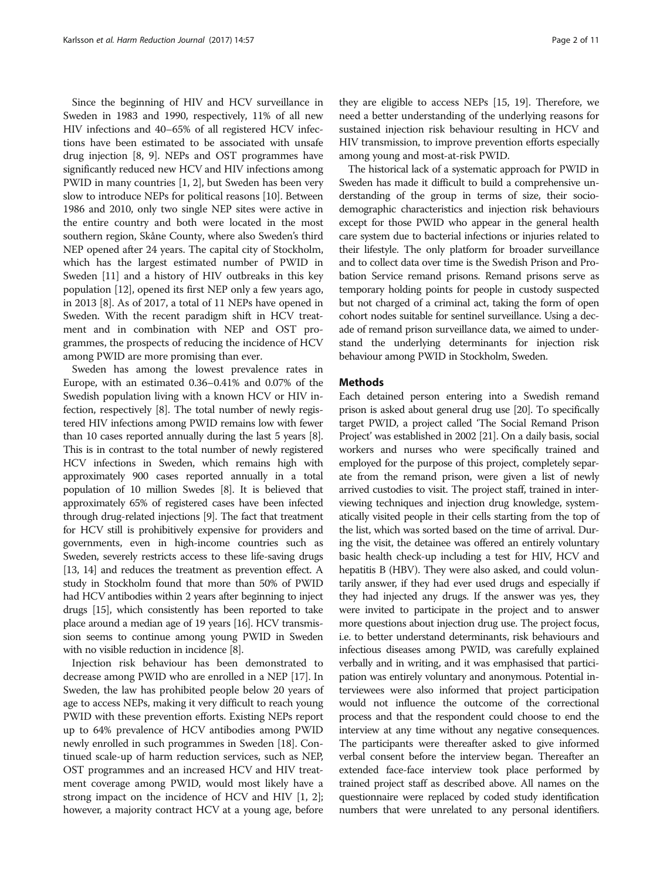Since the beginning of HIV and HCV surveillance in Sweden in 1983 and 1990, respectively, 11% of all new HIV infections and 40–65% of all registered HCV infections have been estimated to be associated with unsafe drug injection [\[8](#page-10-0), [9](#page-10-0)]. NEPs and OST programmes have significantly reduced new HCV and HIV infections among PWID in many countries [[1](#page-9-0), [2](#page-9-0)], but Sweden has been very slow to introduce NEPs for political reasons [\[10\]](#page-10-0). Between 1986 and 2010, only two single NEP sites were active in the entire country and both were located in the most southern region, Skåne County, where also Sweden's third NEP opened after 24 years. The capital city of Stockholm, which has the largest estimated number of PWID in Sweden [[11](#page-10-0)] and a history of HIV outbreaks in this key population [[12](#page-10-0)], opened its first NEP only a few years ago, in 2013 [[8](#page-10-0)]. As of 2017, a total of 11 NEPs have opened in Sweden. With the recent paradigm shift in HCV treatment and in combination with NEP and OST programmes, the prospects of reducing the incidence of HCV among PWID are more promising than ever.

Sweden has among the lowest prevalence rates in Europe, with an estimated 0.36–0.41% and 0.07% of the Swedish population living with a known HCV or HIV infection, respectively [[8\]](#page-10-0). The total number of newly registered HIV infections among PWID remains low with fewer than 10 cases reported annually during the last 5 years [[8](#page-10-0)]. This is in contrast to the total number of newly registered HCV infections in Sweden, which remains high with approximately 900 cases reported annually in a total population of 10 million Swedes [\[8\]](#page-10-0). It is believed that approximately 65% of registered cases have been infected through drug-related injections [\[9](#page-10-0)]. The fact that treatment for HCV still is prohibitively expensive for providers and governments, even in high-income countries such as Sweden, severely restricts access to these life-saving drugs [[13](#page-10-0), [14](#page-10-0)] and reduces the treatment as prevention effect. A study in Stockholm found that more than 50% of PWID had HCV antibodies within 2 years after beginning to inject drugs [\[15](#page-10-0)], which consistently has been reported to take place around a median age of 19 years [[16](#page-10-0)]. HCV transmission seems to continue among young PWID in Sweden with no visible reduction in incidence [\[8\]](#page-10-0).

Injection risk behaviour has been demonstrated to decrease among PWID who are enrolled in a NEP [\[17\]](#page-10-0). In Sweden, the law has prohibited people below 20 years of age to access NEPs, making it very difficult to reach young PWID with these prevention efforts. Existing NEPs report up to 64% prevalence of HCV antibodies among PWID newly enrolled in such programmes in Sweden [\[18\]](#page-10-0). Continued scale-up of harm reduction services, such as NEP, OST programmes and an increased HCV and HIV treatment coverage among PWID, would most likely have a strong impact on the incidence of HCV and HIV [[1](#page-9-0), [2](#page-9-0)]; however, a majority contract HCV at a young age, before

they are eligible to access NEPs [\[15, 19\]](#page-10-0). Therefore, we need a better understanding of the underlying reasons for sustained injection risk behaviour resulting in HCV and HIV transmission, to improve prevention efforts especially among young and most-at-risk PWID.

The historical lack of a systematic approach for PWID in Sweden has made it difficult to build a comprehensive understanding of the group in terms of size, their sociodemographic characteristics and injection risk behaviours except for those PWID who appear in the general health care system due to bacterial infections or injuries related to their lifestyle. The only platform for broader surveillance and to collect data over time is the Swedish Prison and Probation Service remand prisons. Remand prisons serve as temporary holding points for people in custody suspected but not charged of a criminal act, taking the form of open cohort nodes suitable for sentinel surveillance. Using a decade of remand prison surveillance data, we aimed to understand the underlying determinants for injection risk behaviour among PWID in Stockholm, Sweden.

## **Methods**

Each detained person entering into a Swedish remand prison is asked about general drug use [\[20\]](#page-10-0). To specifically target PWID, a project called 'The Social Remand Prison Project' was established in 2002 [\[21\]](#page-10-0). On a daily basis, social workers and nurses who were specifically trained and employed for the purpose of this project, completely separate from the remand prison, were given a list of newly arrived custodies to visit. The project staff, trained in interviewing techniques and injection drug knowledge, systematically visited people in their cells starting from the top of the list, which was sorted based on the time of arrival. During the visit, the detainee was offered an entirely voluntary basic health check-up including a test for HIV, HCV and hepatitis B (HBV). They were also asked, and could voluntarily answer, if they had ever used drugs and especially if they had injected any drugs. If the answer was yes, they were invited to participate in the project and to answer more questions about injection drug use. The project focus, i.e. to better understand determinants, risk behaviours and infectious diseases among PWID, was carefully explained verbally and in writing, and it was emphasised that participation was entirely voluntary and anonymous. Potential interviewees were also informed that project participation would not influence the outcome of the correctional process and that the respondent could choose to end the interview at any time without any negative consequences. The participants were thereafter asked to give informed verbal consent before the interview began. Thereafter an extended face-face interview took place performed by trained project staff as described above. All names on the questionnaire were replaced by coded study identification numbers that were unrelated to any personal identifiers.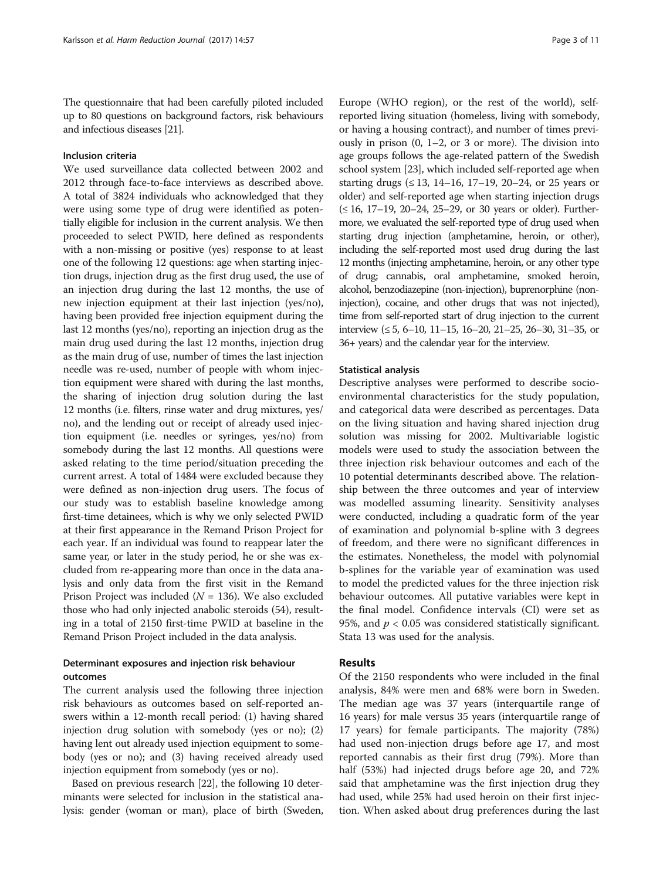The questionnaire that had been carefully piloted included up to 80 questions on background factors, risk behaviours and infectious diseases [[21](#page-10-0)].

## Inclusion criteria

We used surveillance data collected between 2002 and 2012 through face-to-face interviews as described above. A total of 3824 individuals who acknowledged that they were using some type of drug were identified as potentially eligible for inclusion in the current analysis. We then proceeded to select PWID, here defined as respondents with a non-missing or positive (yes) response to at least one of the following 12 questions: age when starting injection drugs, injection drug as the first drug used, the use of an injection drug during the last 12 months, the use of new injection equipment at their last injection (yes/no), having been provided free injection equipment during the last 12 months (yes/no), reporting an injection drug as the main drug used during the last 12 months, injection drug as the main drug of use, number of times the last injection needle was re-used, number of people with whom injection equipment were shared with during the last months, the sharing of injection drug solution during the last 12 months (i.e. filters, rinse water and drug mixtures, yes/ no), and the lending out or receipt of already used injection equipment (i.e. needles or syringes, yes/no) from somebody during the last 12 months. All questions were asked relating to the time period/situation preceding the current arrest. A total of 1484 were excluded because they were defined as non-injection drug users. The focus of our study was to establish baseline knowledge among first-time detainees, which is why we only selected PWID at their first appearance in the Remand Prison Project for each year. If an individual was found to reappear later the same year, or later in the study period, he or she was excluded from re-appearing more than once in the data analysis and only data from the first visit in the Remand Prison Project was included ( $N = 136$ ). We also excluded those who had only injected anabolic steroids (54), resulting in a total of 2150 first-time PWID at baseline in the Remand Prison Project included in the data analysis.

# Determinant exposures and injection risk behaviour outcomes

The current analysis used the following three injection risk behaviours as outcomes based on self-reported answers within a 12-month recall period: (1) having shared injection drug solution with somebody (yes or no); (2) having lent out already used injection equipment to somebody (yes or no); and (3) having received already used injection equipment from somebody (yes or no).

Based on previous research [[22](#page-10-0)], the following 10 determinants were selected for inclusion in the statistical analysis: gender (woman or man), place of birth (Sweden,

Europe (WHO region), or the rest of the world), selfreported living situation (homeless, living with somebody, or having a housing contract), and number of times previously in prison  $(0, 1-2, 0r 3$  or more). The division into age groups follows the age-related pattern of the Swedish school system [\[23\]](#page-10-0), which included self-reported age when starting drugs  $( \leq 13, 14-16, 17-19, 20-24, \text{ or } 25 \text{ years or})$ older) and self-reported age when starting injection drugs (≤ 16, 17–19, 20–24, 25–29, or 30 years or older). Furthermore, we evaluated the self-reported type of drug used when starting drug injection (amphetamine, heroin, or other), including the self-reported most used drug during the last 12 months (injecting amphetamine, heroin, or any other type of drug; cannabis, oral amphetamine, smoked heroin, alcohol, benzodiazepine (non-injection), buprenorphine (noninjection), cocaine, and other drugs that was not injected), time from self-reported start of drug injection to the current interview (≤ 5, 6–10, 11–15, 16–20, 21–25, 26–30, 31–35, or 36+ years) and the calendar year for the interview.

#### Statistical analysis

Descriptive analyses were performed to describe socioenvironmental characteristics for the study population, and categorical data were described as percentages. Data on the living situation and having shared injection drug solution was missing for 2002. Multivariable logistic models were used to study the association between the three injection risk behaviour outcomes and each of the 10 potential determinants described above. The relationship between the three outcomes and year of interview was modelled assuming linearity. Sensitivity analyses were conducted, including a quadratic form of the year of examination and polynomial b-spline with 3 degrees of freedom, and there were no significant differences in the estimates. Nonetheless, the model with polynomial b-splines for the variable year of examination was used to model the predicted values for the three injection risk behaviour outcomes. All putative variables were kept in the final model. Confidence intervals (CI) were set as 95%, and  $p < 0.05$  was considered statistically significant. Stata 13 was used for the analysis.

# Results

Of the 2150 respondents who were included in the final analysis, 84% were men and 68% were born in Sweden. The median age was 37 years (interquartile range of 16 years) for male versus 35 years (interquartile range of 17 years) for female participants. The majority (78%) had used non-injection drugs before age 17, and most reported cannabis as their first drug (79%). More than half (53%) had injected drugs before age 20, and 72% said that amphetamine was the first injection drug they had used, while 25% had used heroin on their first injection. When asked about drug preferences during the last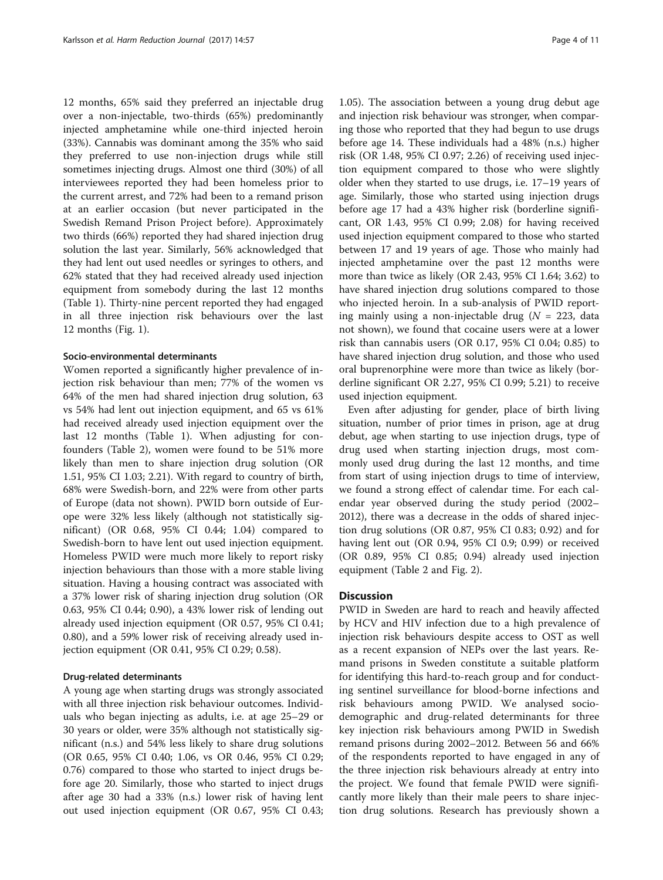12 months, 65% said they preferred an injectable drug over a non-injectable, two-thirds (65%) predominantly injected amphetamine while one-third injected heroin (33%). Cannabis was dominant among the 35% who said they preferred to use non-injection drugs while still sometimes injecting drugs. Almost one third (30%) of all interviewees reported they had been homeless prior to the current arrest, and 72% had been to a remand prison at an earlier occasion (but never participated in the Swedish Remand Prison Project before). Approximately two thirds (66%) reported they had shared injection drug solution the last year. Similarly, 56% acknowledged that they had lent out used needles or syringes to others, and 62% stated that they had received already used injection equipment from somebody during the last 12 months (Table [1\)](#page-4-0). Thirty-nine percent reported they had engaged in all three injection risk behaviours over the last 12 months (Fig. [1\)](#page-5-0).

## Socio-environmental determinants

Women reported a significantly higher prevalence of injection risk behaviour than men; 77% of the women vs 64% of the men had shared injection drug solution, 63 vs 54% had lent out injection equipment, and 65 vs 61% had received already used injection equipment over the last 12 months (Table [1](#page-4-0)). When adjusting for confounders (Table [2](#page-6-0)), women were found to be 51% more likely than men to share injection drug solution (OR 1.51, 95% CI 1.03; 2.21). With regard to country of birth, 68% were Swedish-born, and 22% were from other parts of Europe (data not shown). PWID born outside of Europe were 32% less likely (although not statistically significant) (OR 0.68, 95% CI 0.44; 1.04) compared to Swedish-born to have lent out used injection equipment. Homeless PWID were much more likely to report risky injection behaviours than those with a more stable living situation. Having a housing contract was associated with a 37% lower risk of sharing injection drug solution (OR 0.63, 95% CI 0.44; 0.90), a 43% lower risk of lending out already used injection equipment (OR 0.57, 95% CI 0.41; 0.80), and a 59% lower risk of receiving already used injection equipment (OR 0.41, 95% CI 0.29; 0.58).

#### Drug-related determinants

A young age when starting drugs was strongly associated with all three injection risk behaviour outcomes. Individuals who began injecting as adults, i.e. at age 25–29 or 30 years or older, were 35% although not statistically significant (n.s.) and 54% less likely to share drug solutions (OR 0.65, 95% CI 0.40; 1.06, vs OR 0.46, 95% CI 0.29; 0.76) compared to those who started to inject drugs before age 20. Similarly, those who started to inject drugs after age 30 had a 33% (n.s.) lower risk of having lent out used injection equipment (OR 0.67, 95% CI 0.43;

1.05). The association between a young drug debut age and injection risk behaviour was stronger, when comparing those who reported that they had begun to use drugs before age 14. These individuals had a 48% (n.s.) higher risk (OR 1.48, 95% CI 0.97; 2.26) of receiving used injection equipment compared to those who were slightly older when they started to use drugs, i.e. 17–19 years of age. Similarly, those who started using injection drugs before age 17 had a 43% higher risk (borderline significant, OR 1.43, 95% CI 0.99; 2.08) for having received used injection equipment compared to those who started between 17 and 19 years of age. Those who mainly had injected amphetamine over the past 12 months were more than twice as likely (OR 2.43, 95% CI 1.64; 3.62) to have shared injection drug solutions compared to those who injected heroin. In a sub-analysis of PWID reporting mainly using a non-injectable drug ( $N = 223$ , data not shown), we found that cocaine users were at a lower risk than cannabis users (OR 0.17, 95% CI 0.04; 0.85) to have shared injection drug solution, and those who used oral buprenorphine were more than twice as likely (borderline significant OR 2.27, 95% CI 0.99; 5.21) to receive used injection equipment.

Even after adjusting for gender, place of birth living situation, number of prior times in prison, age at drug debut, age when starting to use injection drugs, type of drug used when starting injection drugs, most commonly used drug during the last 12 months, and time from start of using injection drugs to time of interview, we found a strong effect of calendar time. For each calendar year observed during the study period (2002– 2012), there was a decrease in the odds of shared injection drug solutions (OR 0.87, 95% CI 0.83; 0.92) and for having lent out (OR 0.94, 95% CI 0.9; 0.99) or received (OR 0.89, 95% CI 0.85; 0.94) already used injection equipment (Table [2](#page-6-0) and Fig. [2\)](#page-7-0).

## **Discussion**

PWID in Sweden are hard to reach and heavily affected by HCV and HIV infection due to a high prevalence of injection risk behaviours despite access to OST as well as a recent expansion of NEPs over the last years. Remand prisons in Sweden constitute a suitable platform for identifying this hard-to-reach group and for conducting sentinel surveillance for blood-borne infections and risk behaviours among PWID. We analysed sociodemographic and drug-related determinants for three key injection risk behaviours among PWID in Swedish remand prisons during 2002–2012. Between 56 and 66% of the respondents reported to have engaged in any of the three injection risk behaviours already at entry into the project. We found that female PWID were significantly more likely than their male peers to share injection drug solutions. Research has previously shown a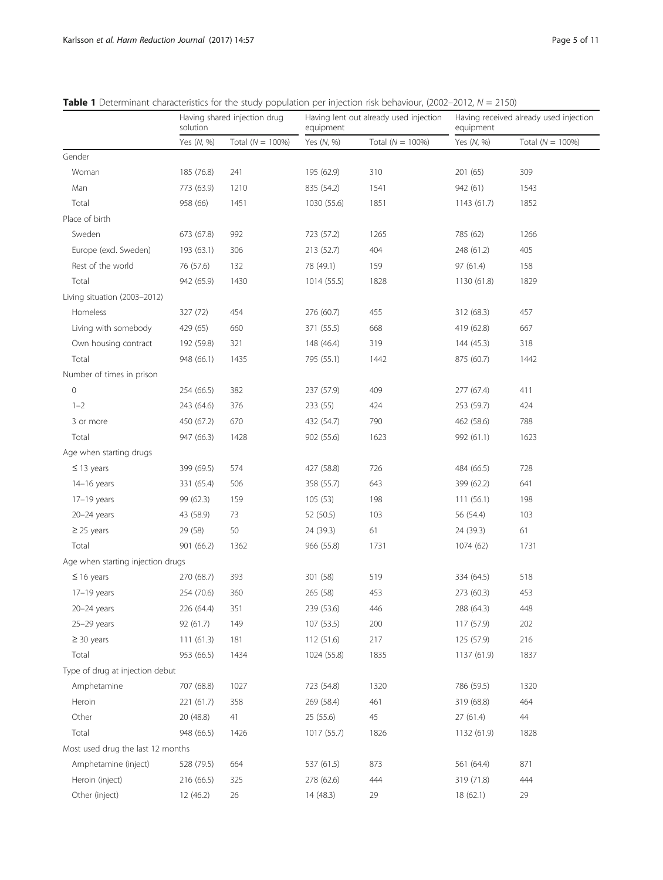|                                   | Having shared injection drug<br>solution |                     | Having lent out already used injection<br>equipment |                     | Having received already used injection<br>equipment |                     |
|-----------------------------------|------------------------------------------|---------------------|-----------------------------------------------------|---------------------|-----------------------------------------------------|---------------------|
|                                   | Yes (N, %)                               | Total $(N = 100\%)$ | Yes (N, %)                                          | Total $(N = 100\%)$ | Yes (N, %)                                          | Total $(N = 100\%)$ |
| Gender                            |                                          |                     |                                                     |                     |                                                     |                     |
| Woman                             | 185 (76.8)                               | 241                 | 195 (62.9)                                          | 310                 | 201 (65)                                            | 309                 |
| Man                               | 773 (63.9)                               | 1210                | 835 (54.2)                                          | 1541                | 942 (61)                                            | 1543                |
| Total                             | 958 (66)                                 | 1451                | 1030 (55.6)                                         | 1851                | 1143 (61.7)                                         | 1852                |
| Place of birth                    |                                          |                     |                                                     |                     |                                                     |                     |
| Sweden                            | 673 (67.8)                               | 992                 | 723 (57.2)                                          | 1265                | 785 (62)                                            | 1266                |
| Europe (excl. Sweden)             | 193 (63.1)                               | 306                 | 213 (52.7)                                          | 404                 | 248 (61.2)                                          | 405                 |
| Rest of the world                 | 76 (57.6)                                | 132                 | 78 (49.1)                                           | 159                 | 97 (61.4)                                           | 158                 |
| Total                             | 942 (65.9)                               | 1430                | 1014 (55.5)                                         | 1828                | 1130 (61.8)                                         | 1829                |
| Living situation (2003-2012)      |                                          |                     |                                                     |                     |                                                     |                     |
| Homeless                          | 327 (72)                                 | 454                 | 276 (60.7)                                          | 455                 | 312 (68.3)                                          | 457                 |
| Living with somebody              | 429 (65)                                 | 660                 | 371 (55.5)                                          | 668                 | 419 (62.8)                                          | 667                 |
| Own housing contract              | 192 (59.8)                               | 321                 | 148 (46.4)                                          | 319                 | 144 (45.3)                                          | 318                 |
| Total                             | 948 (66.1)                               | 1435                | 795 (55.1)                                          | 1442                | 875 (60.7)                                          | 1442                |
| Number of times in prison         |                                          |                     |                                                     |                     |                                                     |                     |
| $\mathsf{O}\xspace$               | 254 (66.5)                               | 382                 | 237 (57.9)                                          | 409                 | 277 (67.4)                                          | 411                 |
| $1 - 2$                           | 243 (64.6)                               | 376                 | 233 (55)                                            | 424                 | 253 (59.7)                                          | 424                 |
| 3 or more                         | 450 (67.2)                               | 670                 | 432 (54.7)                                          | 790                 | 462 (58.6)                                          | 788                 |
| Total                             | 947 (66.3)                               | 1428                | 902 (55.6)                                          | 1623                | 992 (61.1)                                          | 1623                |
| Age when starting drugs           |                                          |                     |                                                     |                     |                                                     |                     |
| $\leq$ 13 years                   | 399 (69.5)                               | 574                 | 427 (58.8)                                          | 726                 | 484 (66.5)                                          | 728                 |
| 14-16 years                       | 331 (65.4)                               | 506                 | 358 (55.7)                                          | 643                 | 399 (62.2)                                          | 641                 |
| 17-19 years                       | 99 (62.3)                                | 159                 | 105(53)                                             | 198                 | 111(56.1)                                           | 198                 |
| $20 - 24$ years                   | 43 (58.9)                                | 73                  | 52 (50.5)                                           | 103                 | 56 (54.4)                                           | 103                 |
| $\geq$ 25 years                   | 29 (58)                                  | 50                  | 24 (39.3)                                           | 61                  | 24 (39.3)                                           | 61                  |
| Total                             | 901 (66.2)                               | 1362                | 966 (55.8)                                          | 1731                | 1074 (62)                                           | 1731                |
| Age when starting injection drugs |                                          |                     |                                                     |                     |                                                     |                     |
| $\leq$ 16 years                   | 270 (68.7)                               | 393                 | 301 (58)                                            | 519                 | 334 (64.5)                                          | 518                 |
| 17-19 years                       | 254 (70.6)                               | 360                 | 265 (58)                                            | 453                 | 273 (60.3)                                          | 453                 |
| 20-24 years                       | 226 (64.4)                               | 351                 | 239 (53.6)                                          | 446                 | 288 (64.3)                                          | 448                 |
| $25-29$ years                     | 92 (61.7)                                | 149                 | 107 (53.5)                                          | 200                 | 117 (57.9)                                          | 202                 |
| $\geq$ 30 years                   | 111(61.3)                                | 181                 | 112 (51.6)                                          | 217                 | 125 (57.9)                                          | 216                 |
| Total                             | 953 (66.5)                               | 1434                | 1024 (55.8)                                         | 1835                | 1137 (61.9)                                         | 1837                |
| Type of drug at injection debut   |                                          |                     |                                                     |                     |                                                     |                     |
| Amphetamine                       | 707 (68.8)                               | 1027                | 723 (54.8)                                          | 1320                | 786 (59.5)                                          | 1320                |
| Heroin                            | 221 (61.7)                               | 358                 | 269 (58.4)                                          | 461                 | 319 (68.8)                                          | 464                 |
| Other                             | 20 (48.8)                                | 41                  | 25 (55.6)                                           | 45                  | 27(61.4)                                            | 44                  |
| Total                             | 948 (66.5)                               | 1426                | 1017 (55.7)                                         | 1826                | 1132 (61.9)                                         | 1828                |
| Most used drug the last 12 months |                                          |                     |                                                     |                     |                                                     |                     |
| Amphetamine (inject)              | 528 (79.5)                               | 664                 | 537 (61.5)                                          | 873                 | 561 (64.4)                                          | 871                 |
| Heroin (inject)                   | 216 (66.5)                               | 325                 | 278 (62.6)                                          | 444                 | 319 (71.8)                                          | 444                 |
| Other (inject)                    | 12 (46.2)                                | 26                  | 14 (48.3)                                           | 29                  | 18 (62.1)                                           | 29                  |

<span id="page-4-0"></span>**Table 1** Determinant characteristics for the study population per injection risk behaviour, (2002–2012,  $N = 2150$ )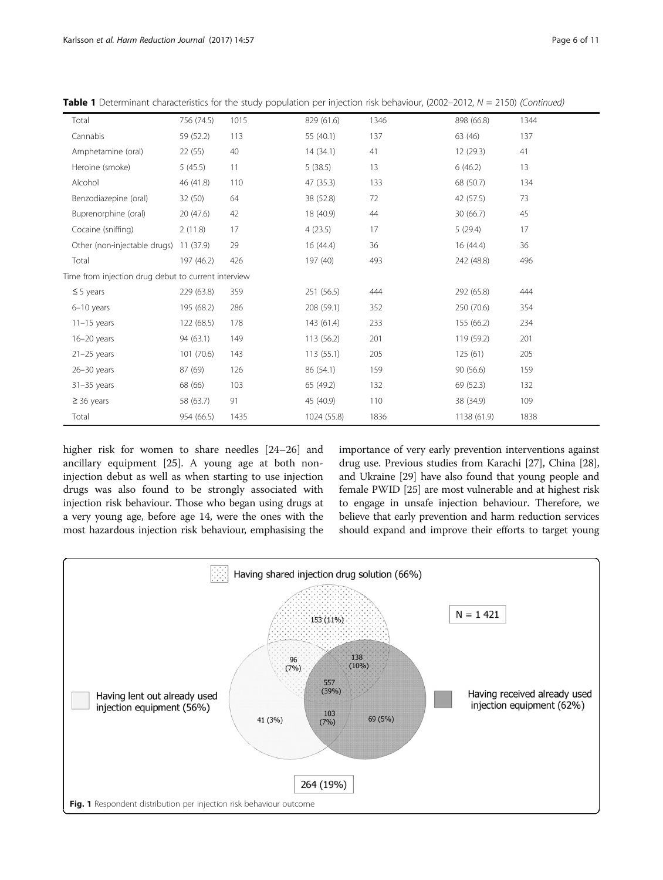| Total                                               | 756 (74.5) | 1015 | 829 (61.6)  | 1346 | 898 (66.8)  | 1344 |  |  |
|-----------------------------------------------------|------------|------|-------------|------|-------------|------|--|--|
| Cannabis                                            | 59 (52.2)  | 113  | 55 (40.1)   | 137  | 63 (46)     | 137  |  |  |
| Amphetamine (oral)                                  | 22(55)     | 40   | 14(34.1)    | 41   | 12(29.3)    | 41   |  |  |
| Heroine (smoke)                                     | 5(45.5)    | 11   | 5(38.5)     | 13   | 6(46.2)     | 13   |  |  |
| Alcohol                                             | 46 (41.8)  | 110  | 47 (35.3)   | 133  | 68 (50.7)   | 134  |  |  |
| Benzodiazepine (oral)                               | 32 (50)    | 64   | 38 (52.8)   | 72   | 42 (57.5)   | 73   |  |  |
| Buprenorphine (oral)                                | 20 (47.6)  | 42   | 18 (40.9)   | 44   | 30(66.7)    | 45   |  |  |
| Cocaine (sniffing)                                  | 2(11.8)    | 17   | 4(23.5)     | 17   | 5(29.4)     | 17   |  |  |
| Other (non-injectable drugs)                        | 11(37.9)   | 29   | 16(44.4)    | 36   | 16(44.4)    | 36   |  |  |
| Total                                               | 197 (46.2) | 426  | 197 (40)    | 493  | 242 (48.8)  | 496  |  |  |
| Time from injection drug debut to current interview |            |      |             |      |             |      |  |  |
| $\leq$ 5 years                                      | 229 (63.8) | 359  | 251 (56.5)  | 444  | 292 (65.8)  | 444  |  |  |
| $6-10$ years                                        | 195 (68.2) | 286  | 208 (59.1)  | 352  | 250 (70.6)  | 354  |  |  |
| $11-15$ years                                       | 122 (68.5) | 178  | 143 (61.4)  | 233  | 155 (66.2)  | 234  |  |  |
| $16 - 20$ years                                     | 94 (63.1)  | 149  | 113 (56.2)  | 201  | 119 (59.2)  | 201  |  |  |
| $21-25$ years                                       | 101(70.6)  | 143  | 113(55.1)   | 205  | 125(61)     | 205  |  |  |
| $26 - 30$ years                                     | 87 (69)    | 126  | 86 (54.1)   | 159  | 90 (56.6)   | 159  |  |  |
| $31-35$ years                                       | 68 (66)    | 103  | 65 (49.2)   | 132  | 69 (52.3)   | 132  |  |  |
| $\geq$ 36 years                                     | 58 (63.7)  | 91   | 45 (40.9)   | 110  | 38 (34.9)   | 109  |  |  |
| Total                                               | 954 (66.5) | 1435 | 1024 (55.8) | 1836 | 1138 (61.9) | 1838 |  |  |

<span id="page-5-0"></span>Table 1 Determinant characteristics for the study population per injection risk behaviour, (2002–2012,  $N = 2150$ ) (Continued)

higher risk for women to share needles [\[24](#page-10-0)–[26\]](#page-10-0) and ancillary equipment [[25](#page-10-0)]. A young age at both noninjection debut as well as when starting to use injection drugs was also found to be strongly associated with injection risk behaviour. Those who began using drugs at a very young age, before age 14, were the ones with the most hazardous injection risk behaviour, emphasising the importance of very early prevention interventions against drug use. Previous studies from Karachi [[27](#page-10-0)], China [[28](#page-10-0)], and Ukraine [[29](#page-10-0)] have also found that young people and female PWID [[25](#page-10-0)] are most vulnerable and at highest risk to engage in unsafe injection behaviour. Therefore, we believe that early prevention and harm reduction services should expand and improve their efforts to target young

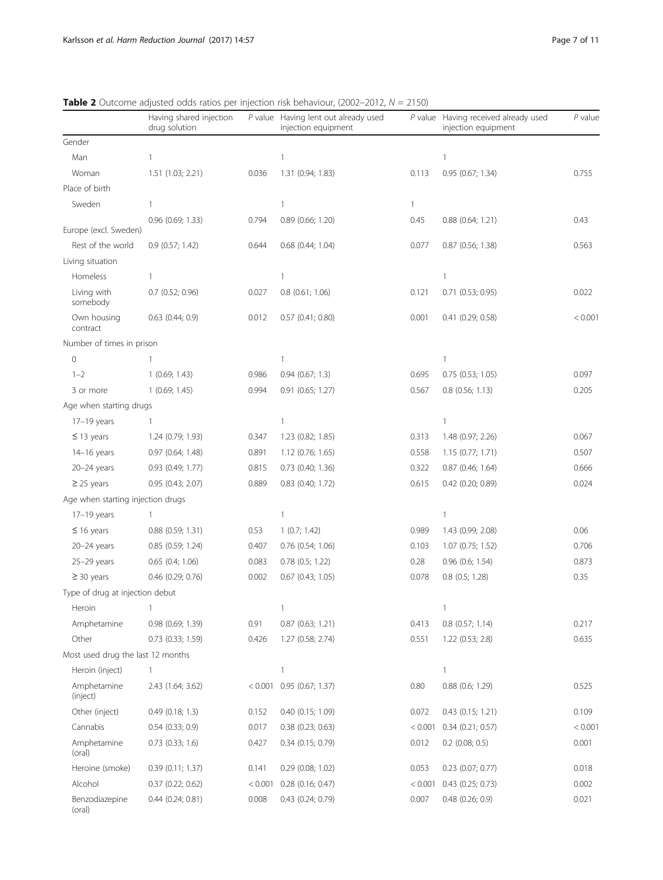<span id="page-6-0"></span>

| <b>Table 2</b> Outcome adjusted odds ratios per injection risk behaviour, (2002–2012, $N = 2150$ ) |  |  |
|----------------------------------------------------------------------------------------------------|--|--|
|----------------------------------------------------------------------------------------------------|--|--|

|                                   | Having shared injection<br>drug solution |       | P value Having lent out already used<br>injection equipment |         | P value Having received already used<br>injection equipment | $P$ value |
|-----------------------------------|------------------------------------------|-------|-------------------------------------------------------------|---------|-------------------------------------------------------------|-----------|
| Gender                            |                                          |       |                                                             |         |                                                             |           |
| Man                               | $\mathbf{1}$                             |       | 1                                                           |         | 1                                                           |           |
| Woman                             | 1.51 (1.03; 2.21)                        | 0.036 | 1.31 (0.94; 1.83)                                           | 0.113   | 0.95(0.67; 1.34)                                            | 0.755     |
| Place of birth                    |                                          |       |                                                             |         |                                                             |           |
| Sweden                            | $\mathbf{1}$                             |       | $\mathbf{1}$                                                | 1       |                                                             |           |
| Europe (excl. Sweden)             | $0.96$ $(0.69; 1.33)$                    | 0.794 | 0.89 (0.66; 1.20)                                           | 0.45    | $0.88$ $(0.64; 1.21)$                                       | 0.43      |
| Rest of the world                 | $0.9$ (0.57; 1.42)                       | 0.644 | $0.68$ $(0.44; 1.04)$                                       | 0.077   | $0.87$ (0.56; 1.38)                                         | 0.563     |
| Living situation                  |                                          |       |                                                             |         |                                                             |           |
| Homeless                          | $\mathbf{1}$                             |       | $\mathbf{1}$                                                |         | $\mathbf{1}$                                                |           |
| Living with<br>somebody           | 0.7 (0.52; 0.96)                         | 0.027 | $0.8$ (0.61; 1.06)                                          | 0.121   | 0.71 (0.53; 0.95)                                           | 0.022     |
| Own housing<br>contract           | $0.63$ $(0.44; 0.9)$                     | 0.012 | $0.57$ $(0.41; 0.80)$                                       | 0.001   | 0.41 (0.29; 0.58)                                           | < 0.001   |
| Number of times in prison         |                                          |       |                                                             |         |                                                             |           |
| $\mathbf 0$                       |                                          |       | 1                                                           |         | 1                                                           |           |
| $1 - 2$                           | 1(0.69; 1.43)                            | 0.986 | $0.94$ $(0.67; 1.3)$                                        | 0.695   | $0.75$ $(0.53; 1.05)$                                       | 0.097     |
| 3 or more                         | 1(0.69; 1.45)                            | 0.994 | $0.91$ $(0.65; 1.27)$                                       | 0.567   | $0.8$ (0.56; 1.13)                                          | 0.205     |
| Age when starting drugs           |                                          |       |                                                             |         |                                                             |           |
| $17-19$ years                     | $\mathbf{1}$                             |       | $\mathbf{1}$                                                |         | $\mathbf{1}$                                                |           |
| $\leq$ 13 years                   | 1.24 (0.79; 1.93)                        | 0.347 | 1.23 (0.82; 1.85)                                           | 0.313   | 1.48 (0.97; 2.26)                                           | 0.067     |
| 14-16 years                       | 0.97 (0.64; 1.48)                        | 0.891 | 1.12 (0.76; 1.65)                                           | 0.558   | 1.15(0.77; 1.71)                                            | 0.507     |
| $20 - 24$ years                   | 0.93 (0.49; 1.77)                        | 0.815 | 0.73 (0.40; 1.36)                                           | 0.322   | $0.87$ (0.46; 1.64)                                         | 0.666     |
| $\geq$ 25 years                   | 0.95(0.43; 2.07)                         | 0.889 | 0.83 (0.40; 1.72)                                           | 0.615   | 0.42 (0.20; 0.89)                                           | 0.024     |
| Age when starting injection drugs |                                          |       |                                                             |         |                                                             |           |
| $17-19$ years                     | $\overline{1}$                           |       | 1                                                           |         | $\mathbf{1}$                                                |           |
| $\leq$ 16 years                   | $0.88$ $(0.59; 1.31)$                    | 0.53  | 1(0.7; 1.42)                                                | 0.989   | 1.43 (0.99; 2.08)                                           | 0.06      |
| $20 - 24$ years                   | 0.85 (0.59; 1.24)                        | 0.407 | $0.76$ $(0.54; 1.06)$                                       | 0.103   | 1.07 (0.75; 1.52)                                           | 0.706     |
| $25-29$ years                     | $0.65$ $(0.4; 1.06)$                     | 0.083 | $0.78$ $(0.5; 1.22)$                                        | 0.28    | $0.96$ $(0.6; 1.54)$                                        | 0.873     |
| $\geq$ 30 years                   | 0.46 (0.29; 0.76)                        | 0.002 | $0.67$ (0.43; 1.05)                                         | 0.078   | $0.8$ $(0.5; 1.28)$                                         | 0.35      |
| Type of drug at injection debut   |                                          |       |                                                             |         |                                                             |           |
| Heroin                            |                                          |       |                                                             |         |                                                             |           |
| Amphetamine                       | 0.98 (0.69; 1.39)                        | 0.91  | $0.87$ (0.63; 1.21)                                         | 0.413   | $0.8$ (0.57; 1.14)                                          | 0.217     |
| Other                             | 0.73 (0.33; 1.59)                        | 0.426 | 1.27 (0.58; 2.74)                                           | 0.551   | 1.22 (0.53; 2.8)                                            | 0.635     |
| Most used drug the last 12 months |                                          |       |                                                             |         |                                                             |           |
| Heroin (inject)                   | $\mathbf{1}$                             |       | $\mathbf{1}$                                                |         | $\mathbf{1}$                                                |           |
| Amphetamine<br>(inject)           | 2.43 (1.64; 3.62)                        |       | $< 0.001$ 0.95 (0.67; 1.37)                                 | 0.80    | 0.88 (0.6; 1.29)                                            | 0.525     |
| Other (inject)                    | $0.49$ $(0.18; 1.3)$                     | 0.152 | 0.40 (0.15; 1.09)                                           | 0.072   | $0.43$ (0.15; 1.21)                                         | 0.109     |
| Cannabis                          | $0.54$ $(0.33; 0.9)$                     | 0.017 | $0.38$ $(0.23; 0.63)$                                       | < 0.001 | 0.34(0.21; 0.57)                                            | < 0.001   |
| Amphetamine<br>(oral)             | $0.73$ $(0.33; 1.6)$                     | 0.427 | 0.34 (0.15; 0.79)                                           | 0.012   | $0.2$ (0.08; 0.5)                                           | 0.001     |
| Heroine (smoke)                   | 0.39(0.11; 1.37)                         | 0.141 | $0.29$ (0.08; 1.02)                                         | 0.053   | $0.23$ (0.07; 0.77)                                         | 0.018     |
| Alcohol                           | $0.37$ $(0.22; 0.62)$                    |       | $< 0.001$ 0.28 (0.16; 0.47)                                 | < 0.001 | $0.43$ $(0.25; 0.73)$                                       | 0.002     |
| Benzodiazepine<br>(oral)          | $0.44$ $(0.24; 0.81)$                    | 0.008 | 0.43 (0.24; 0.79)                                           | 0.007   | 0.48 (0.26; 0.9)                                            | 0.021     |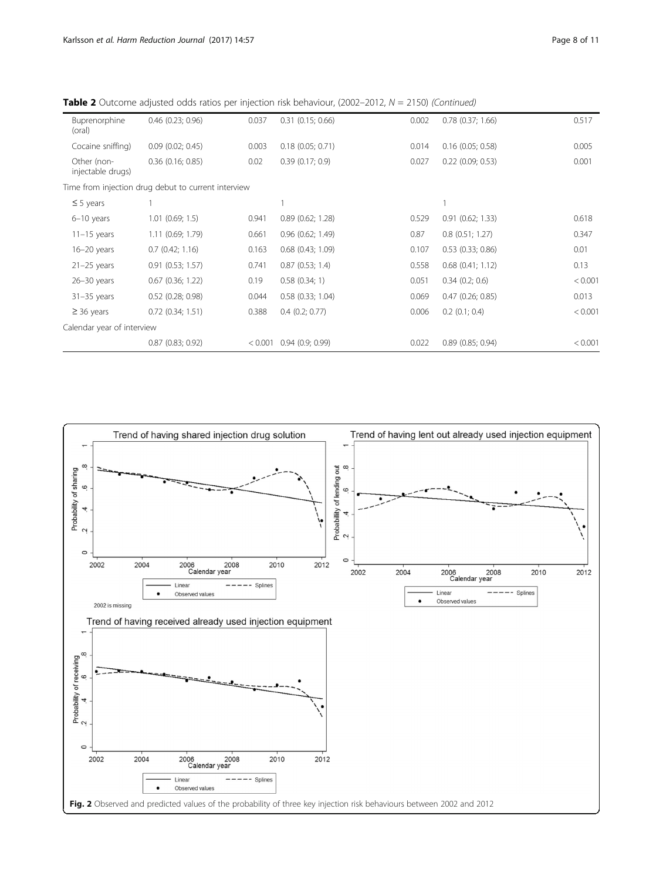| Buprenorphine<br>(oral)          | $0.46$ $(0.23; 0.96)$                               | 0.037   | $0.31$ $(0.15; 0.66)$ | 0.002 | $0.78$ $(0.37; 1.66)$ | 0.517   |
|----------------------------------|-----------------------------------------------------|---------|-----------------------|-------|-----------------------|---------|
| Cocaine sniffing)                | $0.09$ $(0.02; 0.45)$                               | 0.003   | $0.18$ $(0.05; 0.71)$ | 0.014 | $0.16$ (0.05; 0.58)   | 0.005   |
| Other (non-<br>injectable drugs) | $0.36$ $(0.16; 0.85)$                               | 0.02    | 0.39(0.17; 0.9)       | 0.027 | $0.22$ (0.09; 0.53)   | 0.001   |
|                                  | Time from injection drug debut to current interview |         |                       |       |                       |         |
| $\leq$ 5 years                   |                                                     |         |                       |       |                       |         |
| $6-10$ years                     | $1.01$ $(0.69; 1.5)$                                | 0.941   | $0.89$ $(0.62; 1.28)$ | 0.529 | $0.91$ $(0.62; 1.33)$ | 0.618   |
| $11-15$ years                    | 1.11(0.69; 1.79)                                    | 0.661   | $0.96$ $(0.62; 1.49)$ | 0.87  | $0.8$ (0.51; 1.27)    | 0.347   |
| $16-20$ years                    | 0.7(0.42; 1.16)                                     | 0.163   | $0.68$ $(0.43; 1.09)$ | 0.107 | $0.53$ $(0.33; 0.86)$ | 0.01    |
| $21-25$ years                    | $0.91$ $(0.53; 1.57)$                               | 0.741   | 0.87(0.53; 1.4)       | 0.558 | $0.68$ $(0.41; 1.12)$ | 0.13    |
| $26 - 30$ years                  | $0.67$ $(0.36; 1.22)$                               | 0.19    | 0.58(0.34; 1)         | 0.051 | $0.34$ $(0.2; 0.6)$   | < 0.001 |
| $31 - 35$ years                  | $0.52$ (0.28; 0.98)                                 | 0.044   | $0.58$ $(0.33; 1.04)$ | 0.069 | $0.47$ $(0.26; 0.85)$ | 0.013   |
| $\geq$ 36 years                  | $0.72$ $(0.34; 1.51)$                               | 0.388   | $0.4$ $(0.2; 0.77)$   | 0.006 | $0.2$ $(0.1; 0.4)$    | < 0.001 |
| Calendar year of interview       |                                                     |         |                       |       |                       |         |
|                                  | 0.87(0.83; 0.92)                                    | < 0.001 | 0.94(0.9; 0.99)       | 0.022 | $0.89$ $(0.85; 0.94)$ | < 0.001 |

<span id="page-7-0"></span>**Table 2** Outcome adjusted odds ratios per injection risk behaviour, (2002–2012,  $N = 2150$ ) (Continued)

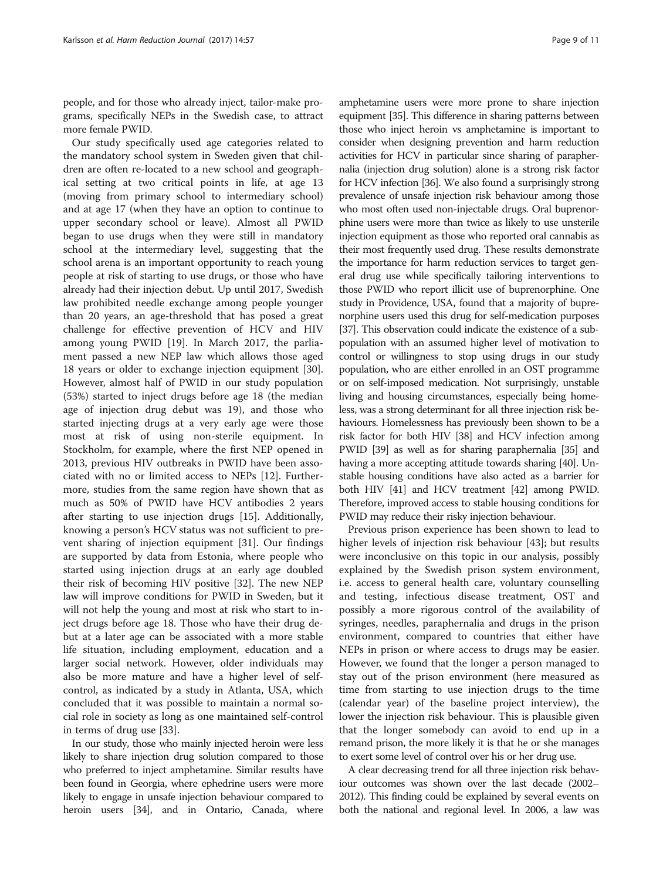people, and for those who already inject, tailor-make programs, specifically NEPs in the Swedish case, to attract more female PWID.

Our study specifically used age categories related to the mandatory school system in Sweden given that children are often re-located to a new school and geographical setting at two critical points in life, at age 13 (moving from primary school to intermediary school) and at age 17 (when they have an option to continue to upper secondary school or leave). Almost all PWID began to use drugs when they were still in mandatory school at the intermediary level, suggesting that the school arena is an important opportunity to reach young people at risk of starting to use drugs, or those who have already had their injection debut. Up until 2017, Swedish law prohibited needle exchange among people younger than 20 years, an age-threshold that has posed a great challenge for effective prevention of HCV and HIV among young PWID [[19](#page-10-0)]. In March 2017, the parliament passed a new NEP law which allows those aged 18 years or older to exchange injection equipment [\[30](#page-10-0)]. However, almost half of PWID in our study population (53%) started to inject drugs before age 18 (the median age of injection drug debut was 19), and those who started injecting drugs at a very early age were those most at risk of using non-sterile equipment. In Stockholm, for example, where the first NEP opened in 2013, previous HIV outbreaks in PWID have been associated with no or limited access to NEPs [\[12](#page-10-0)]. Furthermore, studies from the same region have shown that as much as 50% of PWID have HCV antibodies 2 years after starting to use injection drugs [\[15](#page-10-0)]. Additionally, knowing a person's HCV status was not sufficient to prevent sharing of injection equipment [\[31](#page-10-0)]. Our findings are supported by data from Estonia, where people who started using injection drugs at an early age doubled their risk of becoming HIV positive [\[32\]](#page-10-0). The new NEP law will improve conditions for PWID in Sweden, but it will not help the young and most at risk who start to inject drugs before age 18. Those who have their drug debut at a later age can be associated with a more stable life situation, including employment, education and a larger social network. However, older individuals may also be more mature and have a higher level of selfcontrol, as indicated by a study in Atlanta, USA, which concluded that it was possible to maintain a normal social role in society as long as one maintained self-control in terms of drug use [\[33\]](#page-10-0).

In our study, those who mainly injected heroin were less likely to share injection drug solution compared to those who preferred to inject amphetamine. Similar results have been found in Georgia, where ephedrine users were more likely to engage in unsafe injection behaviour compared to heroin users [\[34\]](#page-10-0), and in Ontario, Canada, where

amphetamine users were more prone to share injection equipment [\[35\]](#page-10-0). This difference in sharing patterns between those who inject heroin vs amphetamine is important to consider when designing prevention and harm reduction activities for HCV in particular since sharing of paraphernalia (injection drug solution) alone is a strong risk factor for HCV infection [[36](#page-10-0)]. We also found a surprisingly strong prevalence of unsafe injection risk behaviour among those who most often used non-injectable drugs. Oral buprenorphine users were more than twice as likely to use unsterile injection equipment as those who reported oral cannabis as their most frequently used drug. These results demonstrate the importance for harm reduction services to target general drug use while specifically tailoring interventions to those PWID who report illicit use of buprenorphine. One study in Providence, USA, found that a majority of buprenorphine users used this drug for self-medication purposes [[37](#page-10-0)]. This observation could indicate the existence of a subpopulation with an assumed higher level of motivation to control or willingness to stop using drugs in our study population, who are either enrolled in an OST programme or on self-imposed medication. Not surprisingly, unstable living and housing circumstances, especially being homeless, was a strong determinant for all three injection risk behaviours. Homelessness has previously been shown to be a risk factor for both HIV [\[38\]](#page-10-0) and HCV infection among PWID [\[39\]](#page-10-0) as well as for sharing paraphernalia [\[35\]](#page-10-0) and having a more accepting attitude towards sharing [\[40\]](#page-10-0). Unstable housing conditions have also acted as a barrier for both HIV [[41](#page-10-0)] and HCV treatment [\[42](#page-10-0)] among PWID. Therefore, improved access to stable housing conditions for PWID may reduce their risky injection behaviour.

Previous prison experience has been shown to lead to higher levels of injection risk behaviour [\[43\]](#page-10-0); but results were inconclusive on this topic in our analysis, possibly explained by the Swedish prison system environment, i.e. access to general health care, voluntary counselling and testing, infectious disease treatment, OST and possibly a more rigorous control of the availability of syringes, needles, paraphernalia and drugs in the prison environment, compared to countries that either have NEPs in prison or where access to drugs may be easier. However, we found that the longer a person managed to stay out of the prison environment (here measured as time from starting to use injection drugs to the time (calendar year) of the baseline project interview), the lower the injection risk behaviour. This is plausible given that the longer somebody can avoid to end up in a remand prison, the more likely it is that he or she manages to exert some level of control over his or her drug use.

A clear decreasing trend for all three injection risk behaviour outcomes was shown over the last decade (2002– 2012). This finding could be explained by several events on both the national and regional level. In 2006, a law was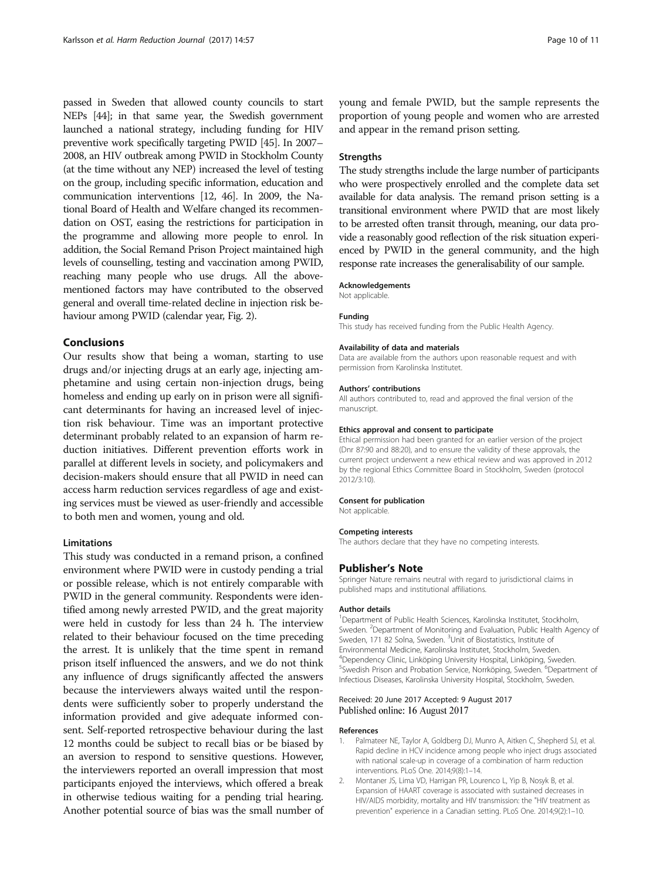<span id="page-9-0"></span>passed in Sweden that allowed county councils to start NEPs [[44\]](#page-10-0); in that same year, the Swedish government launched a national strategy, including funding for HIV preventive work specifically targeting PWID [\[45](#page-10-0)]. In 2007– 2008, an HIV outbreak among PWID in Stockholm County (at the time without any NEP) increased the level of testing on the group, including specific information, education and communication interventions [\[12](#page-10-0), [46\]](#page-10-0). In 2009, the National Board of Health and Welfare changed its recommendation on OST, easing the restrictions for participation in the programme and allowing more people to enrol. In addition, the Social Remand Prison Project maintained high levels of counselling, testing and vaccination among PWID, reaching many people who use drugs. All the abovementioned factors may have contributed to the observed general and overall time-related decline in injection risk behaviour among PWID (calendar year, Fig. [2\)](#page-7-0).

## Conclusions

Our results show that being a woman, starting to use drugs and/or injecting drugs at an early age, injecting amphetamine and using certain non-injection drugs, being homeless and ending up early on in prison were all significant determinants for having an increased level of injection risk behaviour. Time was an important protective determinant probably related to an expansion of harm reduction initiatives. Different prevention efforts work in parallel at different levels in society, and policymakers and decision-makers should ensure that all PWID in need can access harm reduction services regardless of age and existing services must be viewed as user-friendly and accessible to both men and women, young and old.

#### Limitations

This study was conducted in a remand prison, a confined environment where PWID were in custody pending a trial or possible release, which is not entirely comparable with PWID in the general community. Respondents were identified among newly arrested PWID, and the great majority were held in custody for less than 24 h. The interview related to their behaviour focused on the time preceding the arrest. It is unlikely that the time spent in remand prison itself influenced the answers, and we do not think any influence of drugs significantly affected the answers because the interviewers always waited until the respondents were sufficiently sober to properly understand the information provided and give adequate informed consent. Self-reported retrospective behaviour during the last 12 months could be subject to recall bias or be biased by an aversion to respond to sensitive questions. However, the interviewers reported an overall impression that most participants enjoyed the interviews, which offered a break in otherwise tedious waiting for a pending trial hearing. Another potential source of bias was the small number of

young and female PWID, but the sample represents the proportion of young people and women who are arrested and appear in the remand prison setting.

## **Strengths**

The study strengths include the large number of participants who were prospectively enrolled and the complete data set available for data analysis. The remand prison setting is a transitional environment where PWID that are most likely to be arrested often transit through, meaning, our data provide a reasonably good reflection of the risk situation experienced by PWID in the general community, and the high response rate increases the generalisability of our sample.

#### Acknowledgements

Not applicable.

### Funding

This study has received funding from the Public Health Agency.

#### Availability of data and materials

Data are available from the authors upon reasonable request and with permission from Karolinska Institutet.

#### Authors' contributions

All authors contributed to, read and approved the final version of the manuscript.

#### Ethics approval and consent to participate

Ethical permission had been granted for an earlier version of the project (Dnr 87:90 and 88:20), and to ensure the validity of these approvals, the current project underwent a new ethical review and was approved in 2012 by the regional Ethics Committee Board in Stockholm, Sweden (protocol 2012/3:10).

## Consent for publication

Not applicable.

#### Competing interests

The authors declare that they have no competing interests.

#### Publisher's Note

Springer Nature remains neutral with regard to jurisdictional claims in published maps and institutional affiliations.

#### Author details

<sup>1</sup>Department of Public Health Sciences, Karolinska Institutet, Stockholm, Sweden. <sup>2</sup>Department of Monitoring and Evaluation, Public Health Agency of Sweden, 171 82 Solna, Sweden. <sup>3</sup>Unit of Biostatistics, Institute of Environmental Medicine, Karolinska Institutet, Stockholm, Sweden. 4 Dependency Clinic, Linköping University Hospital, Linköping, Sweden. <sup>5</sup>Swedish Prison and Probation Service, Norrköping, Sweden. <sup>6</sup>Department of Infectious Diseases, Karolinska University Hospital, Stockholm, Sweden.

#### Received: 20 June 2017 Accepted: 9 August 2017 Published online: 16 August 2017

#### References

- 1. Palmateer NE, Taylor A, Goldberg DJ, Munro A, Aitken C, Shepherd SJ, et al. Rapid decline in HCV incidence among people who inject drugs associated with national scale-up in coverage of a combination of harm reduction interventions. PLoS One. 2014;9(8):1–14.
- 2. Montaner JS, Lima VD, Harrigan PR, Lourenco L, Yip B, Nosyk B, et al. Expansion of HAART coverage is associated with sustained decreases in HIV/AIDS morbidity, mortality and HIV transmission: the "HIV treatment as prevention" experience in a Canadian setting. PLoS One. 2014;9(2):1–10.